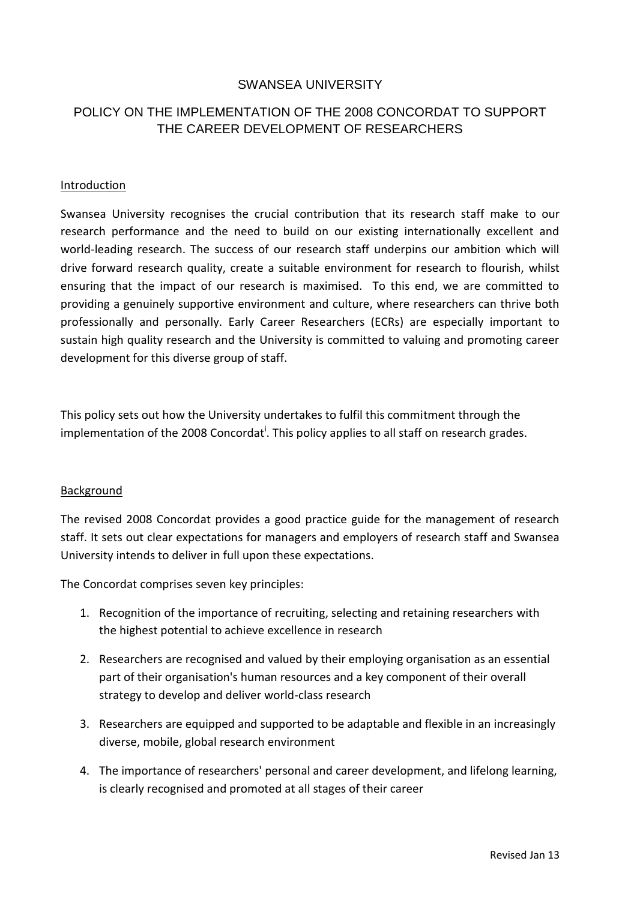# SWANSEA UNIVERSITY

# POLICY ON THE IMPLEMENTATION OF THE 2008 CONCORDAT TO SUPPORT THE CAREER DEVELOPMENT OF RESEARCHERS

#### Introduction

Swansea University recognises the crucial contribution that its research staff make to our research performance and the need to build on our existing internationally excellent and world-leading research. The success of our research staff underpins our ambition which will drive forward research quality, create a suitable environment for research to flourish, whilst ensuring that the impact of our research is maximised. To this end, we are committed to providing a genuinely supportive environment and culture, where researchers can thrive both professionally and personally. Early Career Researchers (ECRs) are especially important to sustain high quality research and the University is committed to valuing and promoting career development for this diverse group of staff.

This policy sets out how the University undertakes to fulfil this commitment through the implementation of the 2008 Concordat<sup>i</sup>. This policy applies to all staff on research grades.

#### Background

The revised 2008 Concordat provides a good practice guide for the management of research staff. It sets out clear expectations for managers and employers of research staff and Swansea University intends to deliver in full upon these expectations.

The Concordat comprises seven key principles:

- 1. Recognition of the importance of recruiting, selecting and retaining researchers with the highest potential to achieve excellence in research
- 2. Researchers are recognised and valued by their employing organisation as an essential part of their organisation's human resources and a key component of their overall strategy to develop and deliver world-class research
- 3. Researchers are equipped and supported to be adaptable and flexible in an increasingly diverse, mobile, global research environment
- 4. The importance of researchers' personal and career development, and lifelong learning, is clearly recognised and promoted at all stages of their career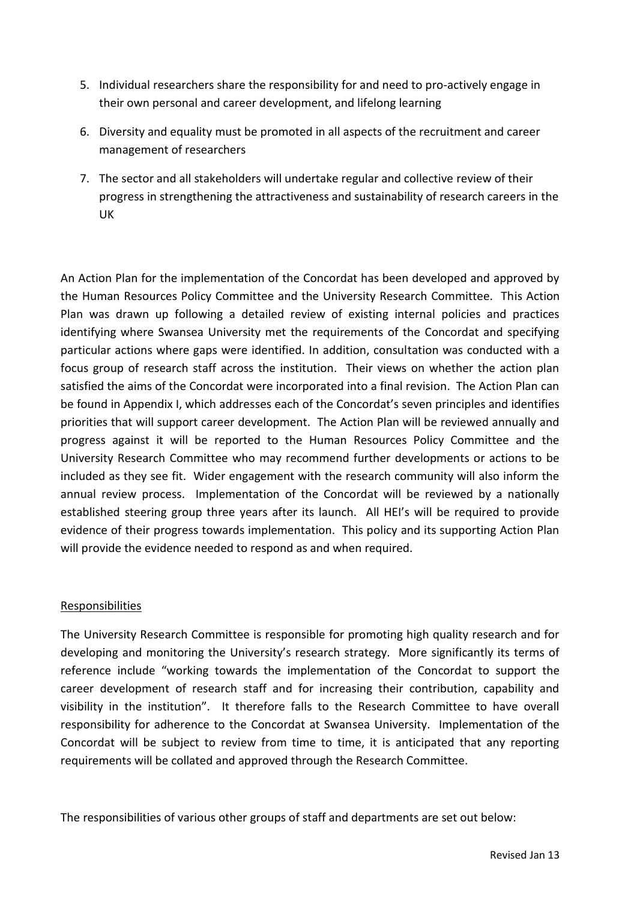- 5. Individual researchers share the responsibility for and need to pro-actively engage in their own personal and career development, and lifelong learning
- 6. Diversity and equality must be promoted in all aspects of the recruitment and career management of researchers
- 7. The sector and all stakeholders will undertake regular and collective [review of their](http://www.vitae.ac.uk/policy-practice/512221/The-Concordat-implementation-and-review-.html)  [progress](http://www.vitae.ac.uk/policy-practice/512221/The-Concordat-implementation-and-review-.html) in strengthening the attractiveness and sustainability of research careers in the UK

An Action Plan for the implementation of the Concordat has been developed and approved by the Human Resources Policy Committee and the University Research Committee. This Action Plan was drawn up following a detailed review of existing internal policies and practices identifying where Swansea University met the requirements of the Concordat and specifying particular actions where gaps were identified. In addition, consultation was conducted with a focus group of research staff across the institution. Their views on whether the action plan satisfied the aims of the Concordat were incorporated into a final revision. The Action Plan can be found in Appendix I, which addresses each of the Concordat's seven principles and identifies priorities that will support career development. The Action Plan will be reviewed annually and progress against it will be reported to the Human Resources Policy Committee and the University Research Committee who may recommend further developments or actions to be included as they see fit. Wider engagement with the research community will also inform the annual review process. Implementation of the Concordat will be reviewed by a nationally established steering group three years after its launch. All HEI's will be required to provide evidence of their progress towards implementation. This policy and its supporting Action Plan will provide the evidence needed to respond as and when required.

# Responsibilities

The University Research Committee is responsible for promoting high quality research and for developing and monitoring the University's research strategy. More significantly its terms of reference include "working towards the implementation of the Concordat to support the career development of research staff and for increasing their contribution, capability and visibility in the institution". It therefore falls to the Research Committee to have overall responsibility for adherence to the Concordat at Swansea University. Implementation of the Concordat will be subject to review from time to time, it is anticipated that any reporting requirements will be collated and approved through the Research Committee.

The responsibilities of various other groups of staff and departments are set out below: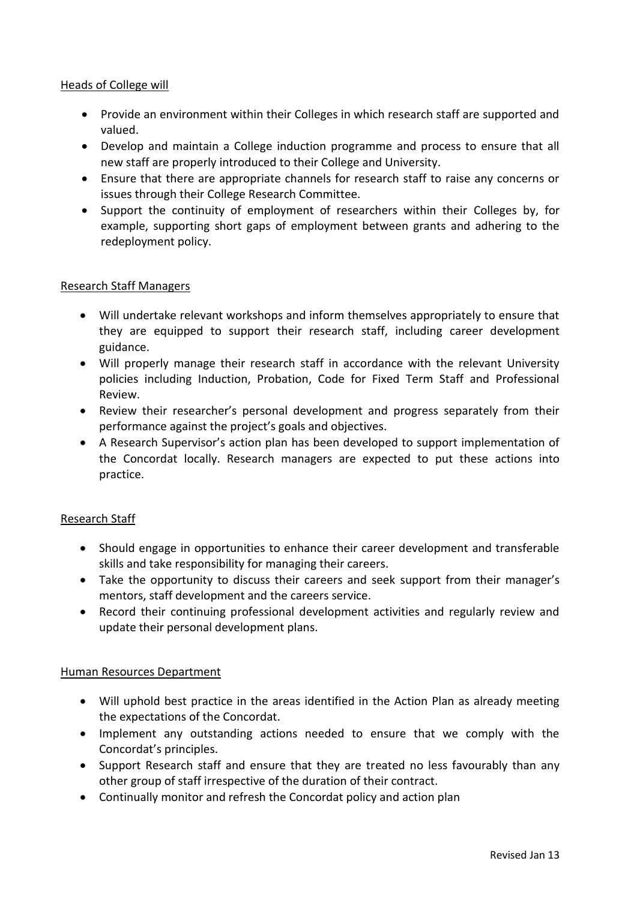#### Heads of College will

- Provide an environment within their Colleges in which research staff are supported and valued.
- Develop and maintain a College induction programme and process to ensure that all new staff are properly introduced to their College and University.
- Ensure that there are appropriate channels for research staff to raise any concerns or issues through their College Research Committee.
- Support the continuity of employment of researchers within their Colleges by, for example, supporting short gaps of employment between grants and adhering to the redeployment policy.

### Research Staff Managers

- Will undertake relevant workshops and inform themselves appropriately to ensure that they are equipped to support their research staff, including career development guidance.
- Will properly manage their research staff in accordance with the relevant University policies including Induction, Probation, Code for Fixed Term Staff and Professional Review.
- Review their researcher's personal development and progress separately from their performance against the project's goals and objectives.
- A Research Supervisor's action plan has been developed to support implementation of the Concordat locally. Research managers are expected to put these actions into practice.

#### Research Staff

- Should engage in opportunities to enhance their career development and transferable skills and take responsibility for managing their careers.
- Take the opportunity to discuss their careers and seek support from their manager's mentors, staff development and the careers service.
- Record their continuing professional development activities and regularly review and update their personal development plans.

#### Human Resources Department

- Will uphold best practice in the areas identified in the Action Plan as already meeting the expectations of the Concordat.
- Implement any outstanding actions needed to ensure that we comply with the Concordat's principles.
- Support Research staff and ensure that they are treated no less favourably than any other group of staff irrespective of the duration of their contract.
- Continually monitor and refresh the Concordat policy and action plan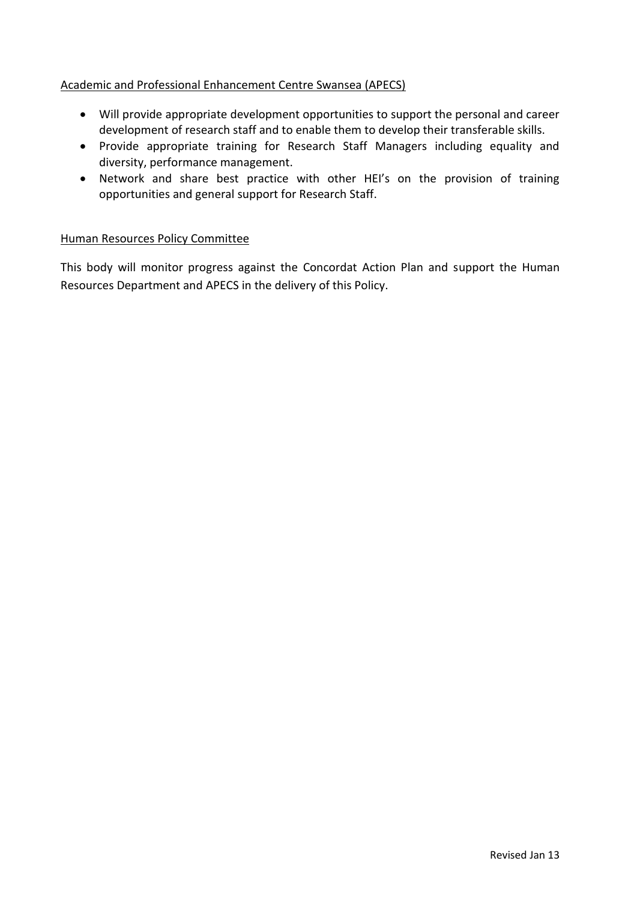# Academic and Professional Enhancement Centre Swansea (APECS)

- Will provide appropriate development opportunities to support the personal and career development of research staff and to enable them to develop their transferable skills.
- Provide appropriate training for Research Staff Managers including equality and diversity, performance management.
- Network and share best practice with other HEI's on the provision of training opportunities and general support for Research Staff.

#### Human Resources Policy Committee

This body will monitor progress against the Concordat Action Plan and support the Human Resources Department and APECS in the delivery of this Policy.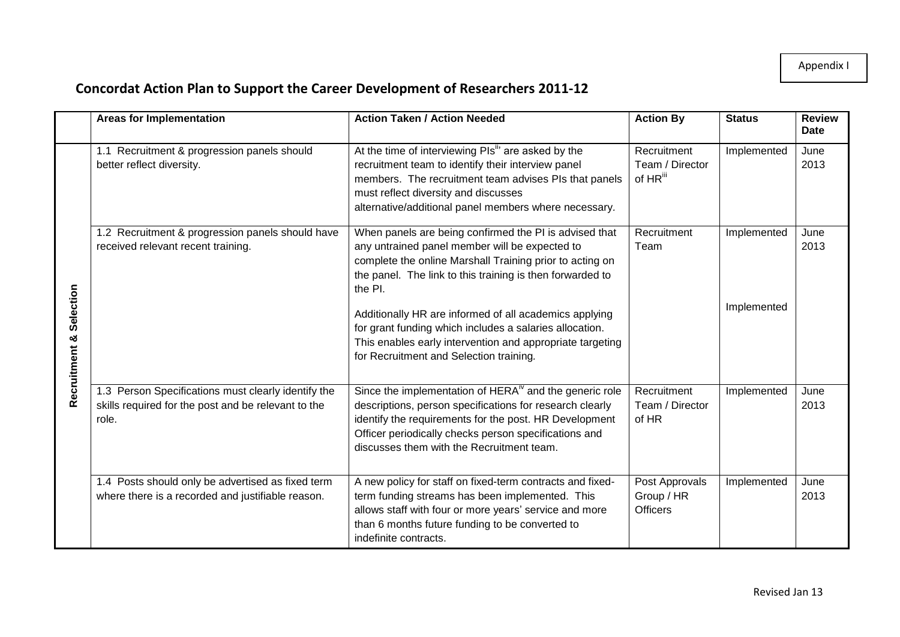# Appendix I

# **Concordat Action Plan to Support the Career Development of Researchers 2011-12**

|                            | <b>Areas for Implementation</b>                                                                                     | <b>Action Taken / Action Needed</b>                                                                                                                                                                                                                                                                                                                                                                                                                                       | <b>Action By</b>                                       | <b>Status</b>              | <b>Review</b><br><b>Date</b> |
|----------------------------|---------------------------------------------------------------------------------------------------------------------|---------------------------------------------------------------------------------------------------------------------------------------------------------------------------------------------------------------------------------------------------------------------------------------------------------------------------------------------------------------------------------------------------------------------------------------------------------------------------|--------------------------------------------------------|----------------------------|------------------------------|
| Selection<br>Recruitment & | 1.1 Recruitment & progression panels should<br>better reflect diversity.                                            | At the time of interviewing PIs <sup>"</sup> are asked by the<br>recruitment team to identify their interview panel<br>members. The recruitment team advises PIs that panels<br>must reflect diversity and discusses<br>alternative/additional panel members where necessary.                                                                                                                                                                                             | Recruitment<br>Team / Director<br>of HR <sup>iii</sup> | Implemented                | June<br>2013                 |
|                            | 1.2 Recruitment & progression panels should have<br>received relevant recent training.                              | When panels are being confirmed the PI is advised that<br>any untrained panel member will be expected to<br>complete the online Marshall Training prior to acting on<br>the panel. The link to this training is then forwarded to<br>the PI.<br>Additionally HR are informed of all academics applying<br>for grant funding which includes a salaries allocation.<br>This enables early intervention and appropriate targeting<br>for Recruitment and Selection training. | Recruitment<br>Team                                    | Implemented<br>Implemented | June<br>2013                 |
|                            | 1.3 Person Specifications must clearly identify the<br>skills required for the post and be relevant to the<br>role. | Since the implementation of $HERAiv$ and the generic role<br>descriptions, person specifications for research clearly<br>identify the requirements for the post. HR Development<br>Officer periodically checks person specifications and<br>discusses them with the Recruitment team.                                                                                                                                                                                     | Recruitment<br>Team / Director<br>of HR                | Implemented                | June<br>2013                 |
|                            | 1.4 Posts should only be advertised as fixed term<br>where there is a recorded and justifiable reason.              | A new policy for staff on fixed-term contracts and fixed-<br>term funding streams has been implemented. This<br>allows staff with four or more years' service and more<br>than 6 months future funding to be converted to<br>indefinite contracts.                                                                                                                                                                                                                        | Post Approvals<br>Group / HR<br><b>Officers</b>        | Implemented                | June<br>2013                 |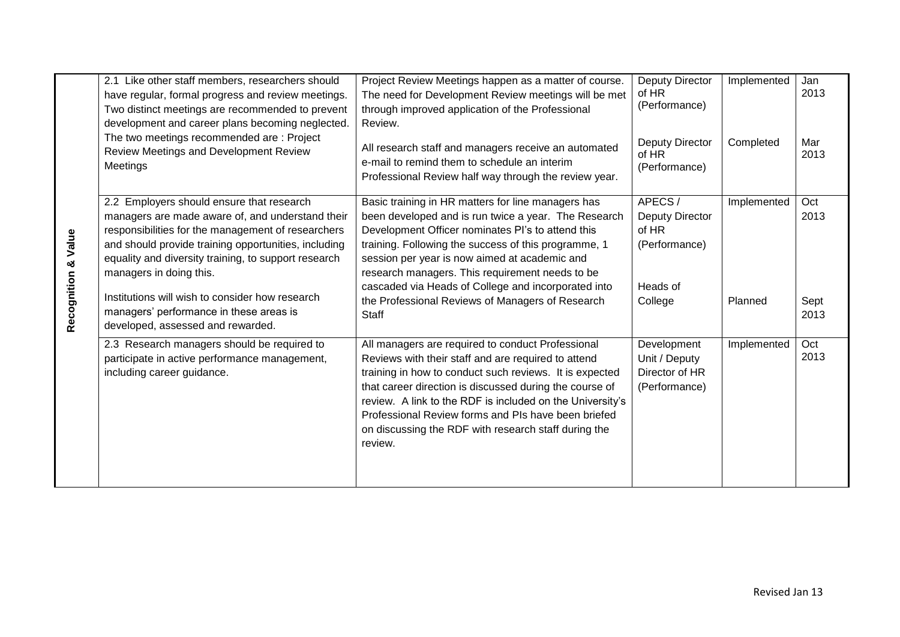|                                | 2.1 Like other staff members, researchers should<br>have regular, formal progress and review meetings.<br>Two distinct meetings are recommended to prevent<br>development and career plans becoming neglected.<br>The two meetings recommended are: Project                                    | Project Review Meetings happen as a matter of course.<br>The need for Development Review meetings will be met<br>through improved application of the Professional<br>Review.                                                                                                                                                                                                                                          | <b>Deputy Director</b><br>of HR<br>(Performance)                       | Implemented | Jan<br>2013  |
|--------------------------------|------------------------------------------------------------------------------------------------------------------------------------------------------------------------------------------------------------------------------------------------------------------------------------------------|-----------------------------------------------------------------------------------------------------------------------------------------------------------------------------------------------------------------------------------------------------------------------------------------------------------------------------------------------------------------------------------------------------------------------|------------------------------------------------------------------------|-------------|--------------|
|                                | Review Meetings and Development Review<br>Meetings                                                                                                                                                                                                                                             | All research staff and managers receive an automated<br>e-mail to remind them to schedule an interim<br>Professional Review half way through the review year.                                                                                                                                                                                                                                                         | <b>Deputy Director</b><br>of HR<br>(Performance)                       | Completed   | Mar<br>2013  |
| <b>Recognition &amp; Value</b> | 2.2 Employers should ensure that research<br>managers are made aware of, and understand their<br>responsibilities for the management of researchers<br>and should provide training opportunities, including<br>equality and diversity training, to support research<br>managers in doing this. | Basic training in HR matters for line managers has<br>been developed and is run twice a year. The Research<br>Development Officer nominates PI's to attend this<br>training. Following the success of this programme, 1<br>session per year is now aimed at academic and<br>research managers. This requirement needs to be<br>cascaded via Heads of College and incorporated into                                    | APECS/<br><b>Deputy Director</b><br>of HR<br>(Performance)<br>Heads of | Implemented | Oct<br>2013  |
|                                | Institutions will wish to consider how research<br>managers' performance in these areas is<br>developed, assessed and rewarded.                                                                                                                                                                | the Professional Reviews of Managers of Research<br><b>Staff</b>                                                                                                                                                                                                                                                                                                                                                      | College                                                                | Planned     | Sept<br>2013 |
|                                | 2.3 Research managers should be required to<br>participate in active performance management,<br>including career guidance.                                                                                                                                                                     | All managers are required to conduct Professional<br>Reviews with their staff and are required to attend<br>training in how to conduct such reviews. It is expected<br>that career direction is discussed during the course of<br>review. A link to the RDF is included on the University's<br>Professional Review forms and PIs have been briefed<br>on discussing the RDF with research staff during the<br>review. | Development<br>Unit / Deputy<br>Director of HR<br>(Performance)        | Implemented | Oct<br>2013  |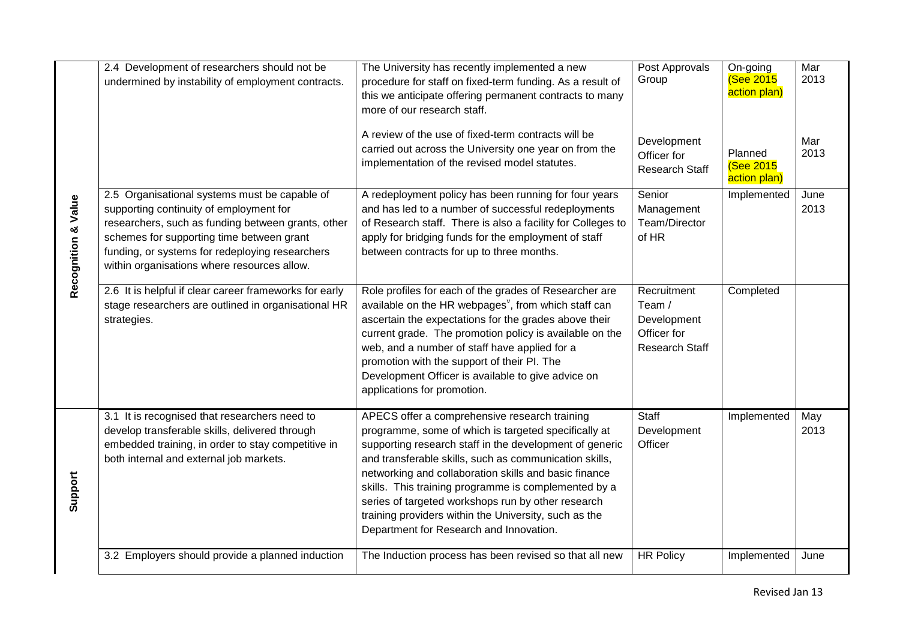|                                | 2.4 Development of researchers should not be<br>undermined by instability of employment contracts.                                                                                                                                                                                            | The University has recently implemented a new<br>procedure for staff on fixed-term funding. As a result of<br>this we anticipate offering permanent contracts to many<br>more of our research staff.                                                                                                                                                                                                                                                                                                  | <b>Post Approvals</b><br>Group                                               | On-going<br><b>(See 2015</b><br>action plan) | Mar<br>2013  |
|--------------------------------|-----------------------------------------------------------------------------------------------------------------------------------------------------------------------------------------------------------------------------------------------------------------------------------------------|-------------------------------------------------------------------------------------------------------------------------------------------------------------------------------------------------------------------------------------------------------------------------------------------------------------------------------------------------------------------------------------------------------------------------------------------------------------------------------------------------------|------------------------------------------------------------------------------|----------------------------------------------|--------------|
|                                |                                                                                                                                                                                                                                                                                               | A review of the use of fixed-term contracts will be<br>carried out across the University one year on from the<br>implementation of the revised model statutes.                                                                                                                                                                                                                                                                                                                                        | Development<br>Officer for<br><b>Research Staff</b>                          | Planned<br><b>(See 2015</b><br>action plan)  | Mar<br>2013  |
| <b>Recognition &amp; Value</b> | 2.5 Organisational systems must be capable of<br>supporting continuity of employment for<br>researchers, such as funding between grants, other<br>schemes for supporting time between grant<br>funding, or systems for redeploying researchers<br>within organisations where resources allow. | A redeployment policy has been running for four years<br>and has led to a number of successful redeployments<br>of Research staff. There is also a facility for Colleges to<br>apply for bridging funds for the employment of staff<br>between contracts for up to three months.                                                                                                                                                                                                                      | Senior<br>Management<br>Team/Director<br>of HR                               | Implemented                                  | June<br>2013 |
|                                | 2.6 It is helpful if clear career frameworks for early<br>stage researchers are outlined in organisational HR<br>strategies.                                                                                                                                                                  | Role profiles for each of the grades of Researcher are<br>available on the HR webpages <sup>v</sup> , from which staff can<br>ascertain the expectations for the grades above their<br>current grade. The promotion policy is available on the<br>web, and a number of staff have applied for a<br>promotion with the support of their PI. The<br>Development Officer is available to give advice on<br>applications for promotion.                                                                   | Recruitment<br>Team /<br>Development<br>Officer for<br><b>Research Staff</b> | Completed                                    |              |
| Support                        | 3.1 It is recognised that researchers need to<br>develop transferable skills, delivered through<br>embedded training, in order to stay competitive in<br>both internal and external job markets.                                                                                              | APECS offer a comprehensive research training<br>programme, some of which is targeted specifically at<br>supporting research staff in the development of generic<br>and transferable skills, such as communication skills,<br>networking and collaboration skills and basic finance<br>skills. This training programme is complemented by a<br>series of targeted workshops run by other research<br>training providers within the University, such as the<br>Department for Research and Innovation. | <b>Staff</b><br>Development<br>Officer                                       | Implemented                                  | May<br>2013  |
|                                | 3.2 Employers should provide a planned induction                                                                                                                                                                                                                                              | The Induction process has been revised so that all new                                                                                                                                                                                                                                                                                                                                                                                                                                                | <b>HR Policy</b>                                                             | Implemented                                  | June         |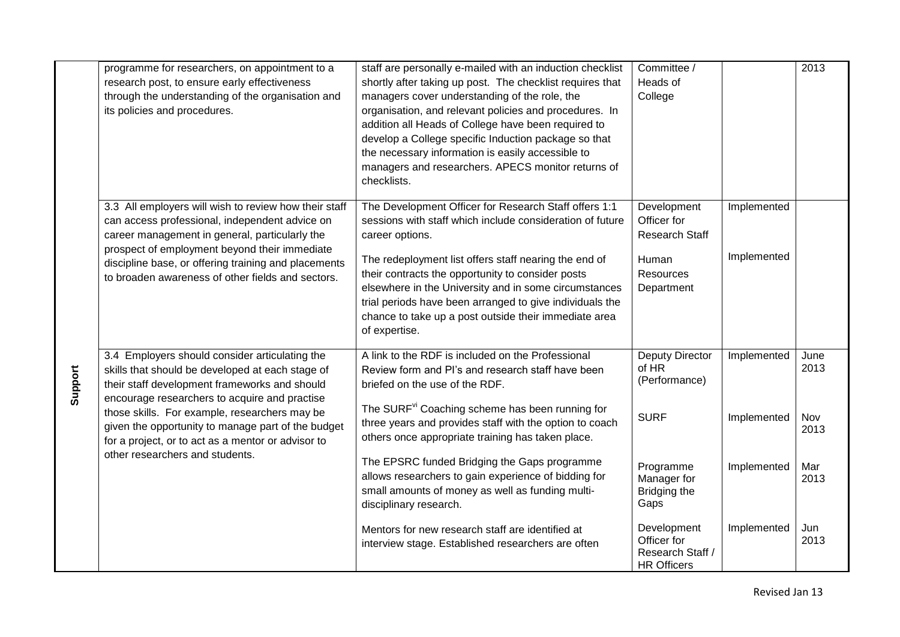|         | programme for researchers, on appointment to a<br>research post, to ensure early effectiveness<br>through the understanding of the organisation and<br>its policies and procedures.                                                                                                                                                                                                                  | staff are personally e-mailed with an induction checklist<br>shortly after taking up post. The checklist requires that<br>managers cover understanding of the role, the<br>organisation, and relevant policies and procedures. In<br>addition all Heads of College have been required to<br>develop a College specific Induction package so that<br>the necessary information is easily accessible to<br>managers and researchers. APECS monitor returns of                                                   | Committee /<br>Heads of<br>College                                                                                  |                                           | 2013                                       |
|---------|------------------------------------------------------------------------------------------------------------------------------------------------------------------------------------------------------------------------------------------------------------------------------------------------------------------------------------------------------------------------------------------------------|---------------------------------------------------------------------------------------------------------------------------------------------------------------------------------------------------------------------------------------------------------------------------------------------------------------------------------------------------------------------------------------------------------------------------------------------------------------------------------------------------------------|---------------------------------------------------------------------------------------------------------------------|-------------------------------------------|--------------------------------------------|
| Support | 3.3 All employers will wish to review how their staff<br>can access professional, independent advice on<br>career management in general, particularly the<br>prospect of employment beyond their immediate<br>discipline base, or offering training and placements<br>to broaden awareness of other fields and sectors.                                                                              | checklists.<br>The Development Officer for Research Staff offers 1:1<br>sessions with staff which include consideration of future<br>career options.<br>The redeployment list offers staff nearing the end of<br>their contracts the opportunity to consider posts<br>elsewhere in the University and in some circumstances<br>trial periods have been arranged to give individuals the<br>chance to take up a post outside their immediate area<br>of expertise.                                             | Development<br>Officer for<br><b>Research Staff</b><br>Human<br>Resources<br>Department                             | Implemented<br>Implemented                |                                            |
|         | 3.4 Employers should consider articulating the<br>skills that should be developed at each stage of<br>their staff development frameworks and should<br>encourage researchers to acquire and practise<br>those skills. For example, researchers may be<br>given the opportunity to manage part of the budget<br>for a project, or to act as a mentor or advisor to<br>other researchers and students. | A link to the RDF is included on the Professional<br>Review form and PI's and research staff have been<br>briefed on the use of the RDF.<br>The SURF <sup>vi</sup> Coaching scheme has been running for<br>three years and provides staff with the option to coach<br>others once appropriate training has taken place.<br>The EPSRC funded Bridging the Gaps programme<br>allows researchers to gain experience of bidding for<br>small amounts of money as well as funding multi-<br>disciplinary research. | <b>Deputy Director</b><br>of HR<br>(Performance)<br><b>SURF</b><br>Programme<br>Manager for<br>Bridging the<br>Gaps | Implemented<br>Implemented<br>Implemented | June<br>2013<br>Nov<br>2013<br>Mar<br>2013 |
|         |                                                                                                                                                                                                                                                                                                                                                                                                      | Mentors for new research staff are identified at<br>interview stage. Established researchers are often                                                                                                                                                                                                                                                                                                                                                                                                        | Development<br>Officer for<br>Research Staff /<br><b>HR Officers</b>                                                | Implemented                               | Jun<br>2013                                |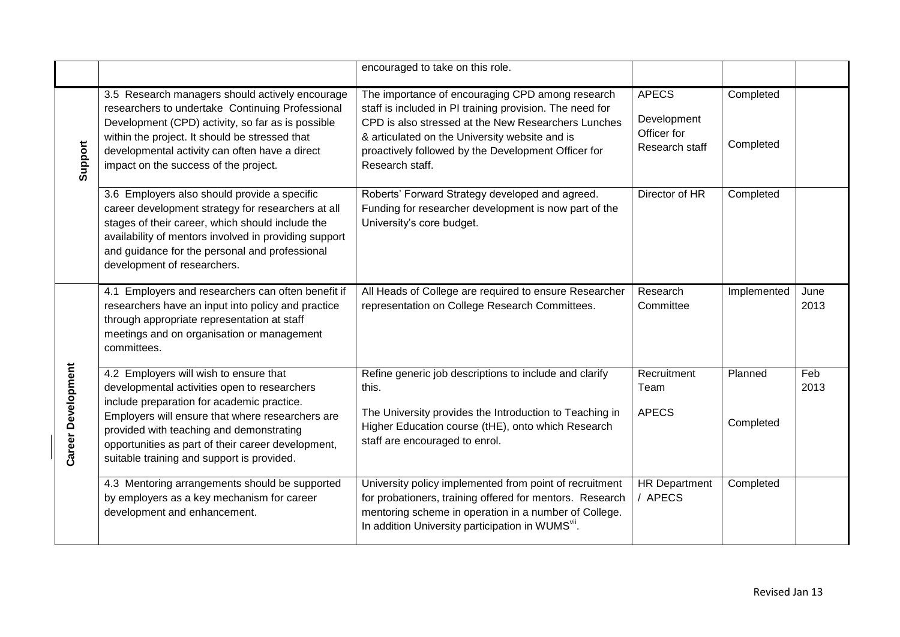|                    |                                                                                                                                                                                                                                                                                                                                          | encouraged to take on this role.                                                                                                                                                                                                                                                                |                                                              |                        |              |
|--------------------|------------------------------------------------------------------------------------------------------------------------------------------------------------------------------------------------------------------------------------------------------------------------------------------------------------------------------------------|-------------------------------------------------------------------------------------------------------------------------------------------------------------------------------------------------------------------------------------------------------------------------------------------------|--------------------------------------------------------------|------------------------|--------------|
| Support            | 3.5 Research managers should actively encourage<br>researchers to undertake Continuing Professional<br>Development (CPD) activity, so far as is possible<br>within the project. It should be stressed that<br>developmental activity can often have a direct<br>impact on the success of the project.                                    | The importance of encouraging CPD among research<br>staff is included in PI training provision. The need for<br>CPD is also stressed at the New Researchers Lunches<br>& articulated on the University website and is<br>proactively followed by the Development Officer for<br>Research staff. | <b>APECS</b><br>Development<br>Officer for<br>Research staff | Completed<br>Completed |              |
|                    | 3.6 Employers also should provide a specific<br>career development strategy for researchers at all<br>stages of their career, which should include the<br>availability of mentors involved in providing support<br>and guidance for the personal and professional<br>development of researchers.                                         | Roberts' Forward Strategy developed and agreed.<br>Funding for researcher development is now part of the<br>University's core budget.                                                                                                                                                           | Director of HR                                               | Completed              |              |
|                    | 4.1 Employers and researchers can often benefit if<br>researchers have an input into policy and practice<br>through appropriate representation at staff<br>meetings and on organisation or management<br>committees.                                                                                                                     | All Heads of College are required to ensure Researcher<br>representation on College Research Committees.                                                                                                                                                                                        | Research<br>Committee                                        | Implemented            | June<br>2013 |
| Career Development | 4.2 Employers will wish to ensure that<br>developmental activities open to researchers<br>include preparation for academic practice.<br>Employers will ensure that where researchers are<br>provided with teaching and demonstrating<br>opportunities as part of their career development,<br>suitable training and support is provided. | Refine generic job descriptions to include and clarify<br>this.<br>The University provides the Introduction to Teaching in<br>Higher Education course (tHE), onto which Research<br>staff are encouraged to enrol.                                                                              | Recruitment<br>Team<br><b>APECS</b>                          | Planned<br>Completed   | Feb<br>2013  |
|                    | 4.3 Mentoring arrangements should be supported<br>by employers as a key mechanism for career<br>development and enhancement.                                                                                                                                                                                                             | University policy implemented from point of recruitment<br>for probationers, training offered for mentors. Research<br>mentoring scheme in operation in a number of College.<br>In addition University participation in WUMS <sup>VII</sup> .                                                   | <b>HR Department</b><br>/ APECS                              | Completed              |              |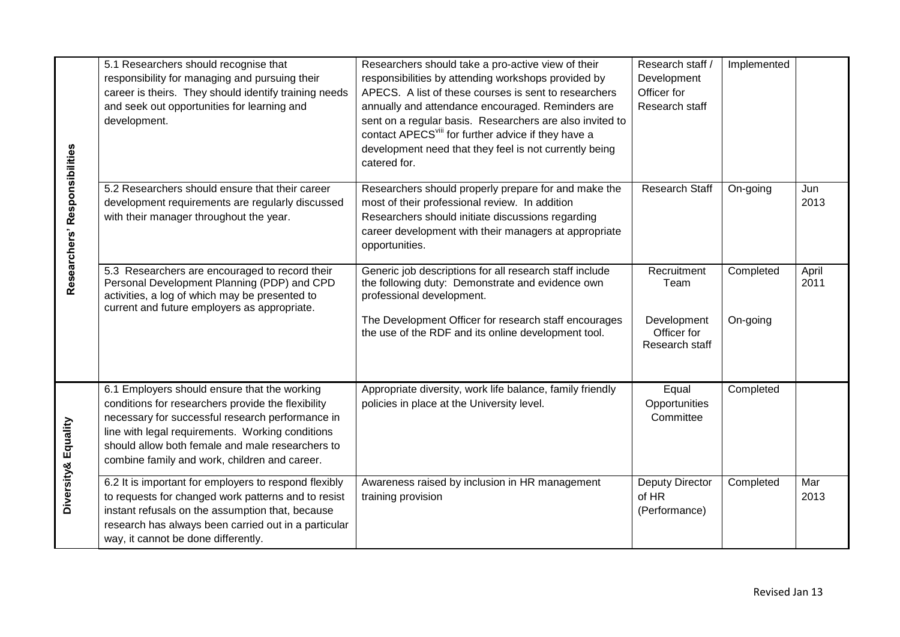| Researchers' Responsibilities | 5.1 Researchers should recognise that<br>responsibility for managing and pursuing their<br>career is theirs. They should identify training needs<br>and seek out opportunities for learning and<br>development.                                                                                                 | Researchers should take a pro-active view of their<br>responsibilities by attending workshops provided by<br>APECS. A list of these courses is sent to researchers<br>annually and attendance encouraged. Reminders are<br>sent on a regular basis. Researchers are also invited to<br>contact APECS <sup>viii</sup> for further advice if they have a<br>development need that they feel is not currently being<br>catered for. | Research staff /<br>Development<br>Officer for<br>Research staff    | Implemented           |               |
|-------------------------------|-----------------------------------------------------------------------------------------------------------------------------------------------------------------------------------------------------------------------------------------------------------------------------------------------------------------|----------------------------------------------------------------------------------------------------------------------------------------------------------------------------------------------------------------------------------------------------------------------------------------------------------------------------------------------------------------------------------------------------------------------------------|---------------------------------------------------------------------|-----------------------|---------------|
|                               | 5.2 Researchers should ensure that their career<br>development requirements are regularly discussed<br>with their manager throughout the year.                                                                                                                                                                  | Researchers should properly prepare for and make the<br>most of their professional review. In addition<br>Researchers should initiate discussions regarding<br>career development with their managers at appropriate<br>opportunities.                                                                                                                                                                                           | Research Staff                                                      | On-going              | Jun<br>2013   |
|                               | 5.3 Researchers are encouraged to record their<br>Personal Development Planning (PDP) and CPD<br>activities, a log of which may be presented to<br>current and future employers as appropriate.                                                                                                                 | Generic job descriptions for all research staff include<br>the following duty: Demonstrate and evidence own<br>professional development.<br>The Development Officer for research staff encourages<br>the use of the RDF and its online development tool.                                                                                                                                                                         | Recruitment<br>Team<br>Development<br>Officer for<br>Research staff | Completed<br>On-going | April<br>2011 |
| Diversity& Equality           | 6.1 Employers should ensure that the working<br>conditions for researchers provide the flexibility<br>necessary for successful research performance in<br>line with legal requirements. Working conditions<br>should allow both female and male researchers to<br>combine family and work, children and career. | Appropriate diversity, work life balance, family friendly<br>policies in place at the University level.                                                                                                                                                                                                                                                                                                                          | Equal<br>Opportunities<br>Committee                                 | Completed             |               |
|                               | 6.2 It is important for employers to respond flexibly<br>to requests for changed work patterns and to resist<br>instant refusals on the assumption that, because<br>research has always been carried out in a particular<br>way, it cannot be done differently.                                                 | Awareness raised by inclusion in HR management<br>training provision                                                                                                                                                                                                                                                                                                                                                             | Deputy Director<br>of HR<br>(Performance)                           | Completed             | Mar<br>2013   |